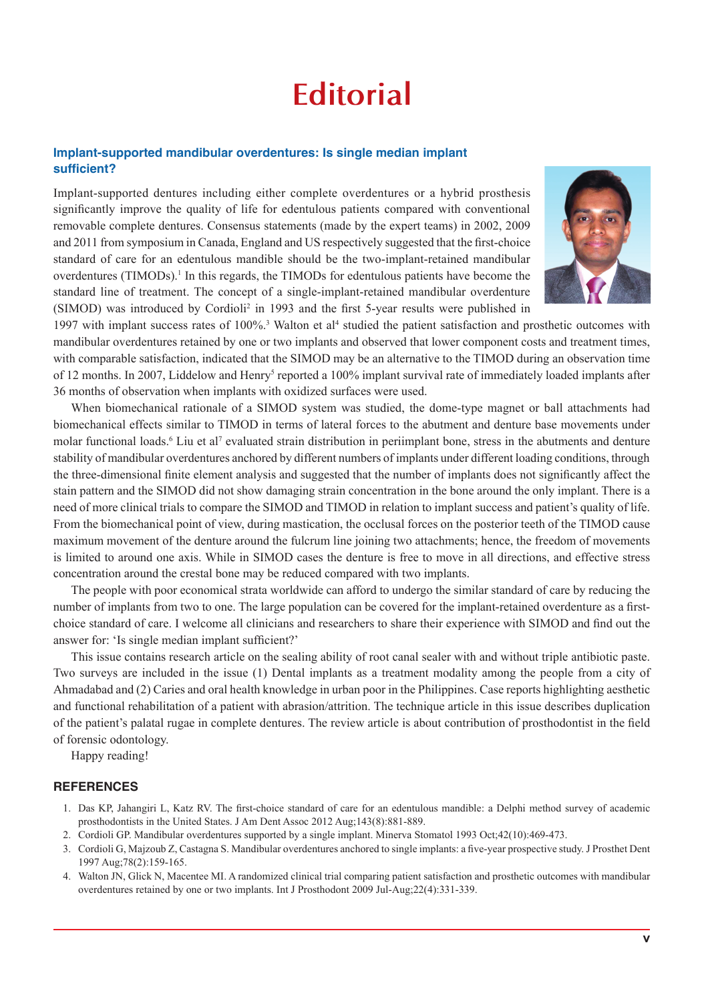## **Editorial**

## **Implant-supported mandibular overdentures: Is single median implant sufficient?**

Implant-supported dentures including either complete overdentures or a hybrid prosthesis significantly improve the quality of life for edentulous patients compared with conventional removable complete dentures. Consensus statements (made by the expert teams) in 2002, 2009 and 2011 from symposium in Canada, England and US respectively suggested that the first-choice standard of care for an edentulous mandible should be the two-implant-retained mandibular overdentures (TIMODs).<sup>1</sup> In this regards, the TIMODs for edentulous patients have become the standard line of treatment. The concept of a single-implant-retained mandibular overdenture (SIMOD) was introduced by Cordioli<sup>2</sup> in 1993 and the first 5-year results were published in



1997 with implant success rates of 100%.<sup>3</sup> Walton et al<sup>4</sup> studied the patient satisfaction and prosthetic outcomes with mandibular overdentures retained by one or two implants and observed that lower component costs and treatment times, with comparable satisfaction, indicated that the SIMOD may be an alternative to the TIMOD during an observation time of 12 months. In 2007, Liddelow and Henry<sup>5</sup> reported a 100% implant survival rate of immediately loaded implants after 36 months of observation when implants with oxidized surfaces were used.

When biomechanical rationale of a SIMOD system was studied, the dome-type magnet or ball attachments had biomechanical effects similar to TIMOD in terms of lateral forces to the abutment and denture base movements under molar functional loads.<sup>6</sup> Liu et al<sup>7</sup> evaluated strain distribution in periimplant bone, stress in the abutments and denture stability of mandibular overdentures anchored by different numbers of implants under different loading conditions, through the three-dimensional finite element analysis and suggested that the number of implants does not significantly affect the stain pattern and the SIMOD did not show damaging strain concentration in the bone around the only implant. There is a need of more clinical trials to compare the SIMOD and TIMOD in relation to implant success and patient's quality of life. From the biomechanical point of view, during mastication, the occlusal forces on the posterior teeth of the TIMOD cause maximum movement of the denture around the fulcrum line joining two attachments; hence, the freedom of movements is limited to around one axis. While in SIMOD cases the denture is free to move in all directions, and effective stress concentration around the crestal bone may be reduced compared with two implants.

The people with poor economical strata worldwide can afford to undergo the similar standard of care by reducing the number of implants from two to one. The large population can be covered for the implant-retained overdenture as a firstchoice standard of care. I welcome all clinicians and researchers to share their experience with SIMOD and find out the answer for: 'Is single median implant sufficient?'

This issue contains research article on the sealing ability of root canal sealer with and without triple antibiotic paste. Two surveys are included in the issue (1) Dental implants as a treatment modality among the people from a city of Ahmadabad and (2) Caries and oral health knowledge in urban poor in the Philippines. Case reports highlighting aesthetic and functional rehabilitation of a patient with abrasion/attrition. The technique article in this issue describes duplication of the patient's palatal rugae in complete dentures. The review article is about contribution of prosthodontist in the field of forensic odontology.

Happy reading!

## **REFERENCES**

- 1. Das KP, Jahangiri L, Katz RV. The first-choice standard of care for an edentulous mandible: a Delphi method survey of academic prosthodontists in the United States. J Am Dent Assoc 2012 Aug;143(8):881-889.
- 2. Cordioli GP. Mandibular overdentures supported by a single implant. Minerva Stomatol 1993 Oct;42(10):469-473.
- 3. Cordioli G, Majzoub Z, Castagna S. Mandibular overdentures anchored to single implants: a five-year prospective study. J Prosthet Dent 1997 Aug;78(2):159-165.
- 4. Walton JN, Glick N, Macentee MI. A randomized clinical trial comparing patient satisfaction and prosthetic outcomes with mandibular overdentures retained by one or two implants. Int J Prosthodont 2009 Jul-Aug;22(4):331-339.